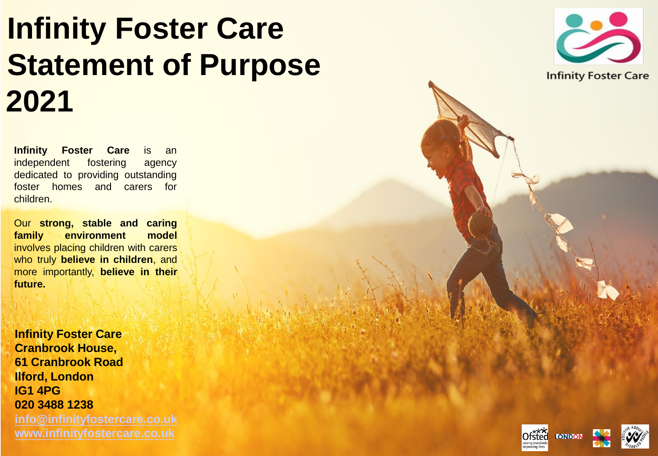# **Infinity Foster Care Statement of Purpose 2021**

**Infinity Foster Care** is an independent fostering agency dedicated to providing outstanding foster homes and carers for children.

Our **strong, stable and caring family environment model** involves placing children with carers who truly **believe in children**, and more importantly, **believe in their future.**

**Infinity Foster Care Cranbrook House, 61 Cranbrook Road Ilford, London IG1 4PG 020 3488 1238 [info@infinityfostercare.co.uk](mailto:info@infinityfostercare.co.uk) [www.infinityfostercare.co.uk](http://www.infinityfostercare.co.uk/)**





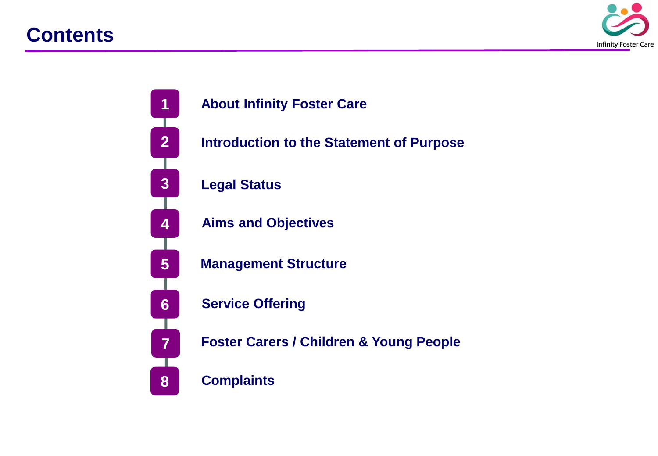### **Contents**



### **About Infinity Foster Care**

**Introduction to the Statement of Purpose**

#### **Legal Status**

**Aims and Objectives** 

**Management Structure** 

**Service Offering** 

**Foster Carers / Children & Young People**

**Complaints**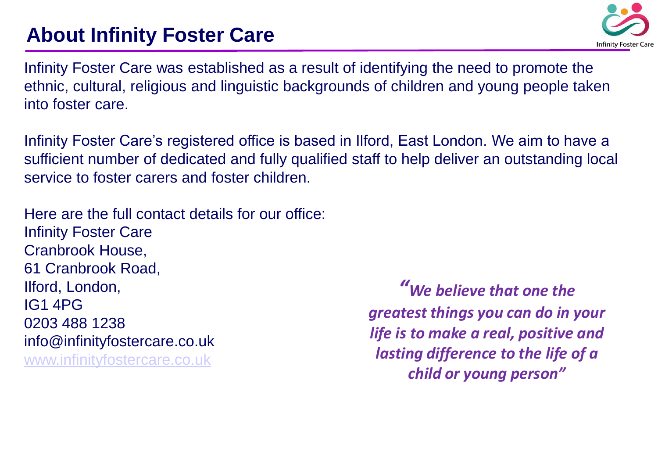# **About Infinity Foster Care**



Infinity Foster Care was established as a result of identifying the need to promote the ethnic, cultural, religious and linguistic backgrounds of children and young people taken into foster care.

Infinity Foster Care's registered office is based in Ilford, East London. We aim to have a sufficient number of dedicated and fully qualified staff to help deliver an outstanding local service to foster carers and foster children.

Here are the full contact details for our office: Infinity Foster Care Cranbrook House, 61 Cranbrook Road, Ilford, London, IG1 4PG 0203 488 1238 info@infinityfostercare.co.uk [www.infinityfostercare.co.uk](http://www.infinityfostercare.co.uk/)

*"We believe that one the greatest things you can do in your life is to make a real, positive and lasting difference to the life of a child or young person"*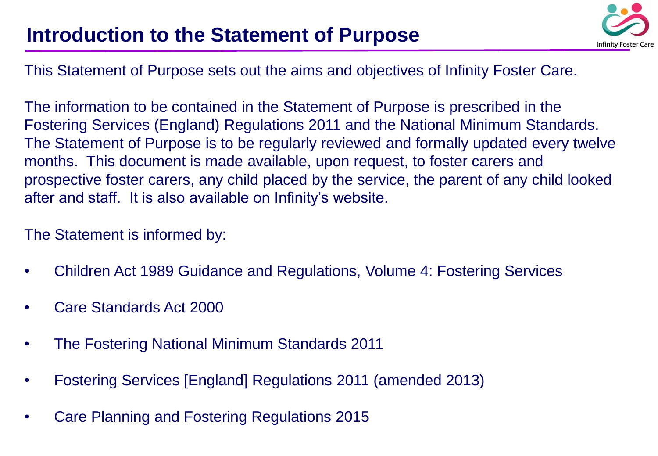### **Introduction to the Statement of Purpose**



This Statement of Purpose sets out the aims and objectives of Infinity Foster Care.

The information to be contained in the Statement of Purpose is prescribed in the Fostering Services (England) Regulations 2011 and the National Minimum Standards. The Statement of Purpose is to be regularly reviewed and formally updated every twelve months. This document is made available, upon request, to foster carers and prospective foster carers, any child placed by the service, the parent of any child looked after and staff. It is also available on Infinity's website.

The Statement is informed by:

- Children Act 1989 Guidance and Regulations, Volume 4: Fostering Services
- Care Standards Act 2000
- The Fostering National Minimum Standards 2011
- Fostering Services [England] Regulations 2011 (amended 2013)
- Care Planning and Fostering Regulations 2015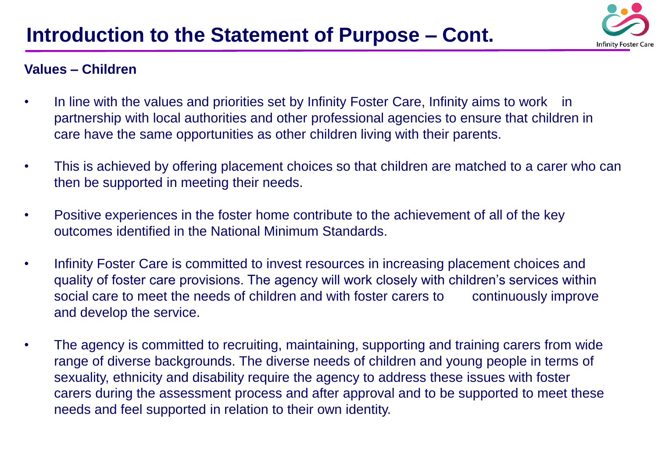

#### **Values – Children**

- In line with the values and priorities set by Infinity Foster Care, Infinity aims to work in partnership with local authorities and other professional agencies to ensure that children in care have the same opportunities as other children living with their parents.
- This is achieved by offering placement choices so that children are matched to a carer who can then be supported in meeting their needs.
- Positive experiences in the foster home contribute to the achievement of all of the key outcomes identified in the National Minimum Standards.
- Infinity Foster Care is committed to invest resources in increasing placement choices and quality of foster care provisions. The agency will work closely with children's services within social care to meet the needs of children and with foster carers to continuously improve and develop the service.
- The agency is committed to recruiting, maintaining, supporting and training carers from wide range of diverse backgrounds. The diverse needs of children and young people in terms of sexuality, ethnicity and disability require the agency to address these issues with foster carers during the assessment process and after approval and to be supported to meet these needs and feel supported in relation to their own identity.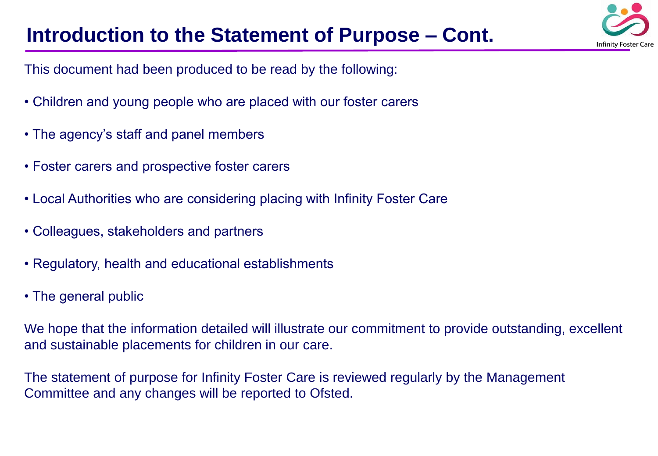# **Introduction to the Statement of Purpose – Cont.**



This document had been produced to be read by the following:

- Children and young people who are placed with our foster carers
- The agency's staff and panel members
- Foster carers and prospective foster carers
- Local Authorities who are considering placing with Infinity Foster Care
- Colleagues, stakeholders and partners
- Regulatory, health and educational establishments
- The general public

We hope that the information detailed will illustrate our commitment to provide outstanding, excellent and sustainable placements for children in our care.

The statement of purpose for Infinity Foster Care is reviewed regularly by the Management Committee and any changes will be reported to Ofsted.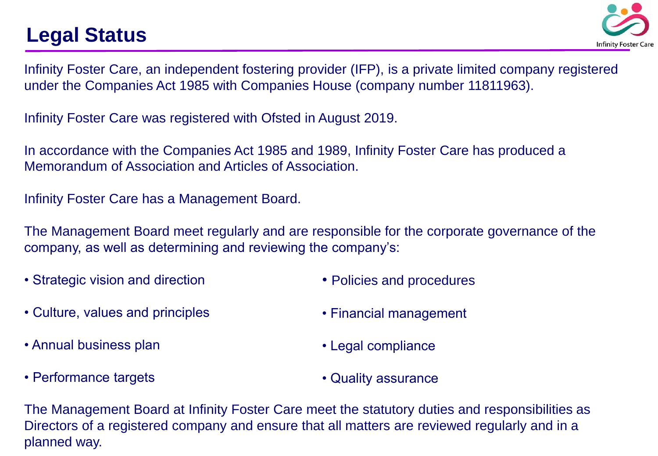# **Legal Status**



Infinity Foster Care, an independent fostering provider (IFP), is a private limited company registered under the Companies Act 1985 with Companies House (company number 11811963).

Infinity Foster Care was registered with Ofsted in August 2019.

In accordance with the Companies Act 1985 and 1989, Infinity Foster Care has produced a Memorandum of Association and Articles of Association.

Infinity Foster Care has a Management Board.

The Management Board meet regularly and are responsible for the corporate governance of the company, as well as determining and reviewing the company's:

• Strategic vision and direction

• Policies and procedures

• Culture, values and principles

• Financial management

- Annual business plan
- Performance targets
- Legal compliance
- Quality assurance

The Management Board at Infinity Foster Care meet the statutory duties and responsibilities as Directors of a registered company and ensure that all matters are reviewed regularly and in a planned way.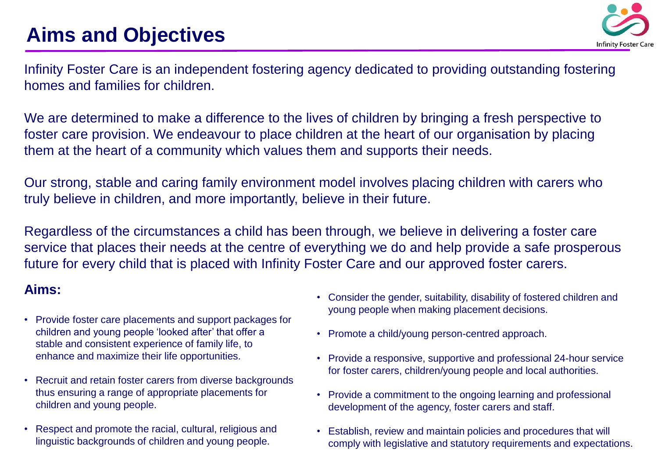

Infinity Foster Care is an independent fostering agency dedicated to providing outstanding fostering homes and families for children.

We are determined to make a difference to the lives of children by bringing a fresh perspective to foster care provision. We endeavour to place children at the heart of our organisation by placing them at the heart of a community which values them and supports their needs.

Our strong, stable and caring family environment model involves placing children with carers who truly believe in children, and more importantly, believe in their future.

Regardless of the circumstances a child has been through, we believe in delivering a foster care service that places their needs at the centre of everything we do and help provide a safe prosperous future for every child that is placed with Infinity Foster Care and our approved foster carers.

#### **Aims:**

- Provide foster care placements and support packages for children and young people 'looked after' that offer a stable and consistent experience of family life, to enhance and maximize their life opportunities.
- Recruit and retain foster carers from diverse backgrounds thus ensuring a range of appropriate placements for children and young people.
- Respect and promote the racial, cultural, religious and linguistic backgrounds of children and young people.
- Consider the gender, suitability, disability of fostered children and young people when making placement decisions.
- Promote a child/young person-centred approach.
- Provide a responsive, supportive and professional 24-hour service for foster carers, children/young people and local authorities.
- Provide a commitment to the ongoing learning and professional development of the agency, foster carers and staff.
- Establish, review and maintain policies and procedures that will comply with legislative and statutory requirements and expectations.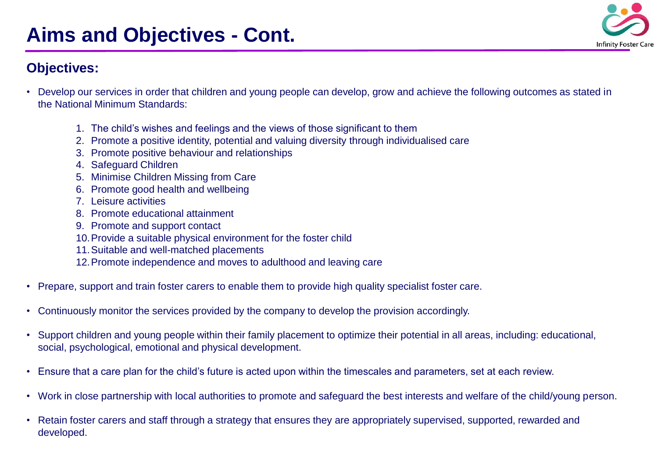# **Aims and Objectives - Cont.**

### **Objectives:**

- Develop our services in order that children and young people can develop, grow and achieve the following outcomes as stated in the National Minimum Standards:
	- 1. The child's wishes and feelings and the views of those significant to them
	- 2. Promote a positive identity, potential and valuing diversity through individualised care
	- 3. Promote positive behaviour and relationships
	- 4. Safeguard Children
	- 5. Minimise Children Missing from Care
	- 6. Promote good health and wellbeing
	- 7. Leisure activities
	- 8. Promote educational attainment
	- 9. Promote and support contact
	- 10.Provide a suitable physical environment for the foster child
	- 11.Suitable and well-matched placements
	- 12.Promote independence and moves to adulthood and leaving care
- Prepare, support and train foster carers to enable them to provide high quality specialist foster care.
- Continuously monitor the services provided by the company to develop the provision accordingly.
- Support children and young people within their family placement to optimize their potential in all areas, including: educational, social, psychological, emotional and physical development.
- Ensure that a care plan for the child's future is acted upon within the timescales and parameters, set at each review.
- Work in close partnership with local authorities to promote and safeguard the best interests and welfare of the child/young person.
- Retain foster carers and staff through a strategy that ensures they are appropriately supervised, supported, rewarded and developed.

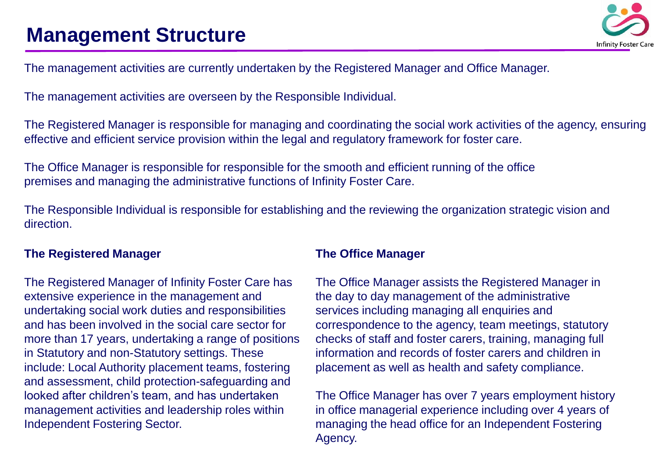

The management activities are currently undertaken by the Registered Manager and Office Manager.

The management activities are overseen by the Responsible Individual.

The Registered Manager is responsible for managing and coordinating the social work activities of the agency, ensuring effective and efficient service provision within the legal and regulatory framework for foster care.

The Office Manager is responsible for responsible for the smooth and efficient running of the office premises and managing the administrative functions of Infinity Foster Care.

The Responsible Individual is responsible for establishing and the reviewing the organization strategic vision and direction.

#### **The Registered Manager**

The Registered Manager of Infinity Foster Care has extensive experience in the management and undertaking social work duties and responsibilities and has been involved in the social care sector for more than 17 years, undertaking a range of positions in Statutory and non-Statutory settings. These include: Local Authority placement teams, fostering and assessment, child protection-safeguarding and looked after children's team, and has undertaken management activities and leadership roles within Independent Fostering Sector.

#### **The Office Manager**

The Office Manager assists the Registered Manager in the day to day management of the administrative services including managing all enquiries and correspondence to the agency, team meetings, statutory checks of staff and foster carers, training, managing full information and records of foster carers and children in placement as well as health and safety compliance.

The Office Manager has over 7 years employment history in office managerial experience including over 4 years of managing the head office for an Independent Fostering Agency.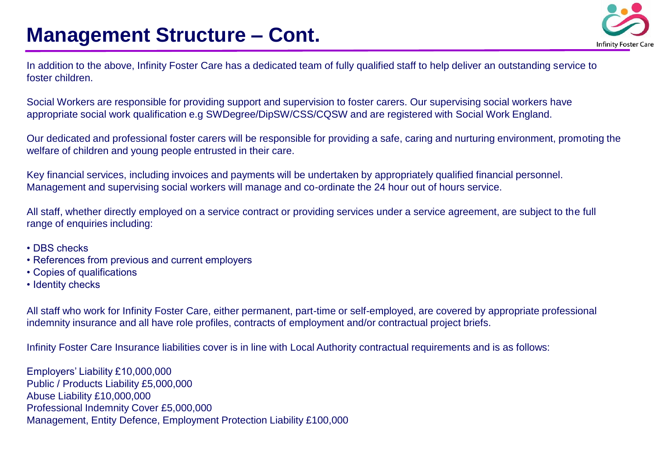### **Management Structure – Cont.**



In addition to the above, Infinity Foster Care has a dedicated team of fully qualified staff to help deliver an outstanding service to foster children.

Social Workers are responsible for providing support and supervision to foster carers. Our supervising social workers have appropriate social work qualification e.g SWDegree/DipSW/CSS/CQSW and are registered with Social Work England.

Our dedicated and professional foster carers will be responsible for providing a safe, caring and nurturing environment, promoting the welfare of children and young people entrusted in their care.

Key financial services, including invoices and payments will be undertaken by appropriately qualified financial personnel. Management and supervising social workers will manage and co-ordinate the 24 hour out of hours service.

All staff, whether directly employed on a service contract or providing services under a service agreement, are subject to the full range of enquiries including:

- DBS checks
- References from previous and current employers
- Copies of qualifications
- Identity checks

All staff who work for Infinity Foster Care, either permanent, part-time or self-employed, are covered by appropriate professional indemnity insurance and all have role profiles, contracts of employment and/or contractual project briefs.

Infinity Foster Care Insurance liabilities cover is in line with Local Authority contractual requirements and is as follows:

Employers' Liability £10,000,000 Public / Products Liability £5,000,000 Abuse Liability £10,000,000 Professional Indemnity Cover £5,000,000 Management, Entity Defence, Employment Protection Liability £100,000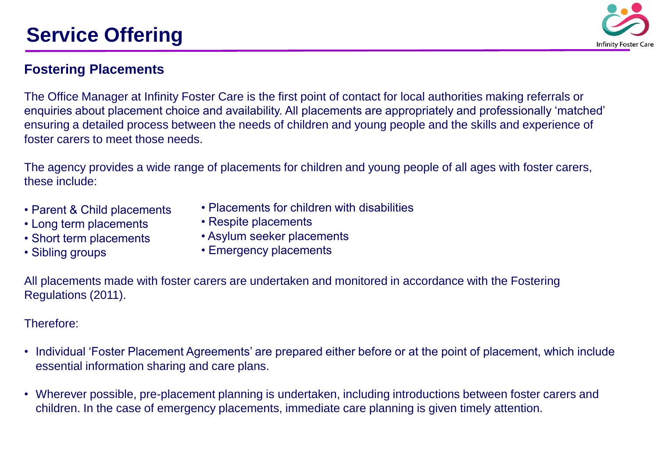# **Service Offering**



### **Fostering Placements**

The Office Manager at Infinity Foster Care is the first point of contact for local authorities making referrals or enquiries about placement choice and availability. All placements are appropriately and professionally 'matched' ensuring a detailed process between the needs of children and young people and the skills and experience of foster carers to meet those needs.

The agency provides a wide range of placements for children and young people of all ages with foster carers, these include:

- Parent & Child placements
- Long term placements
- Short term placements
- Sibling groups
- Placements for children with disabilities
- Respite placements
- Asylum seeker placements
- Emergency placements

All placements made with foster carers are undertaken and monitored in accordance with the Fostering Regulations (2011).

#### Therefore:

- Individual 'Foster Placement Agreements' are prepared either before or at the point of placement, which include essential information sharing and care plans.
- Wherever possible, pre-placement planning is undertaken, including introductions between foster carers and children. In the case of emergency placements, immediate care planning is given timely attention.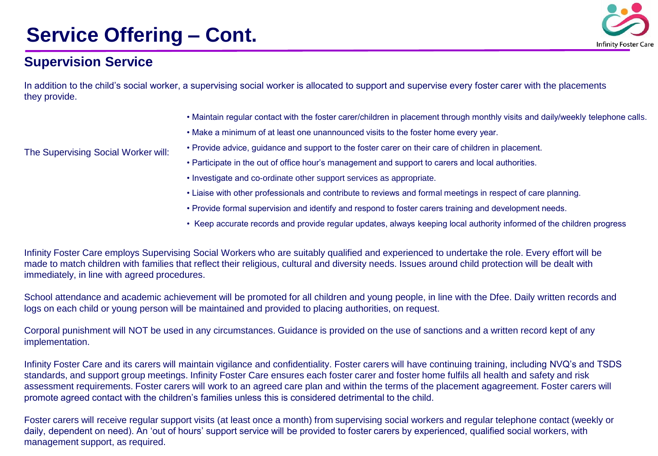# **Service Offering – Cont.**



#### **Supervision Service**

In addition to the child's social worker, a supervising social worker is allocated to support and supervise every foster carer with the placements they provide.

- Maintain regular contact with the foster carer/children in placement through monthly visits and daily/weekly telephone calls.
- Make a minimum of at least one unannounced visits to the foster home every year.
- Provide advice, guidance and support to the foster carer on their care of children in placement.
- Participate in the out of office hour's management and support to carers and local authorities.
- Investigate and co-ordinate other support services as appropriate.
- Liaise with other professionals and contribute to reviews and formal meetings in respect of care planning.
- Provide formal supervision and identify and respond to foster carers training and development needs.
- Keep accurate records and provide regular updates, always keeping local authority informed of the children progress

Infinity Foster Care employs Supervising Social Workers who are suitably qualified and experienced to undertake the role. Every effort will be made to match children with families that reflect their religious, cultural and diversity needs. Issues around child protection will be dealt with immediately, in line with agreed procedures.

School attendance and academic achievement will be promoted for all children and young people, in line with the Dfee. Daily written records and logs on each child or young person will be maintained and provided to placing authorities, on request.

Corporal punishment will NOT be used in any circumstances. Guidance is provided on the use of sanctions and a written record kept of any implementation.

Infinity Foster Care and its carers will maintain vigilance and confidentiality. Foster carers will have continuing training, including NVQ's and TSDS standards, and support group meetings. Infinity Foster Care ensures each foster carer and foster home fulfils all health and safety and risk assessment requirements. Foster carers will work to an agreed care plan and within the terms of the placement agagreement. Foster carers will promote agreed contact with the children's families unless this is considered detrimental to the child.

Foster carers will receive regular support visits (at least once a month) from supervising social workers and regular telephone contact (weekly or daily, dependent on need). An 'out of hours' support service will be provided to foster carers by experienced, qualified social workers, with management support, as required.

The Supervising Social Worker will: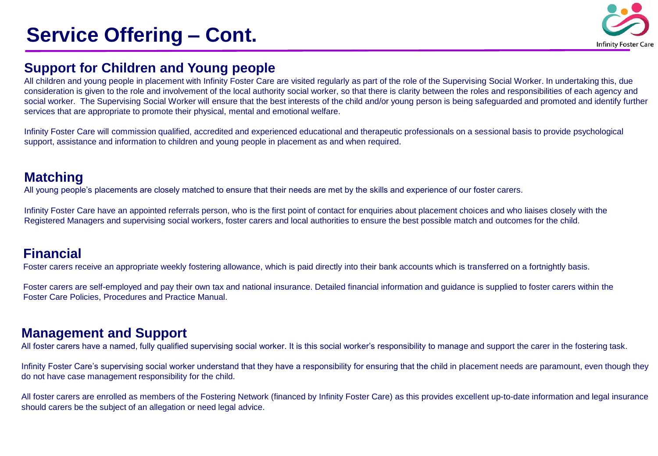# **Service Offering – Cont.**



#### **Support for Children and Young people**

All children and young people in placement with Infinity Foster Care are visited regularly as part of the role of the Supervising Social Worker. In undertaking this, due consideration is given to the role and involvement of the local authority social worker, so that there is clarity between the roles and responsibilities of each agency and social worker. The Supervising Social Worker will ensure that the best interests of the child and/or young person is being safeguarded and promoted and identify further services that are appropriate to promote their physical, mental and emotional welfare.

Infinity Foster Care will commission qualified, accredited and experienced educational and therapeutic professionals on a sessional basis to provide psychological support, assistance and information to children and young people in placement as and when required.

#### **Matching**

All young people's placements are closely matched to ensure that their needs are met by the skills and experience of our foster carers.

Infinity Foster Care have an appointed referrals person, who is the first point of contact for enquiries about placement choices and who liaises closely with the Registered Managers and supervising social workers, foster carers and local authorities to ensure the best possible match and outcomes for the child.

#### **Financial**

Foster carers receive an appropriate weekly fostering allowance, which is paid directly into their bank accounts which is transferred on a fortnightly basis.

Foster carers are self-employed and pay their own tax and national insurance. Detailed financial information and guidance is supplied to foster carers within the Foster Care Policies, Procedures and Practice Manual.

#### **Management and Support**

All foster carers have a named, fully qualified supervising social worker. It is this social worker's responsibility to manage and support the carer in the fostering task.

Infinity Foster Care's supervising social worker understand that they have a responsibility for ensuring that the child in placement needs are paramount, even though they do not have case management responsibility for the child.

All foster carers are enrolled as members of the Fostering Network (financed by Infinity Foster Care) as this provides excellent up-to-date information and legal insurance should carers be the subject of an allegation or need legal advice.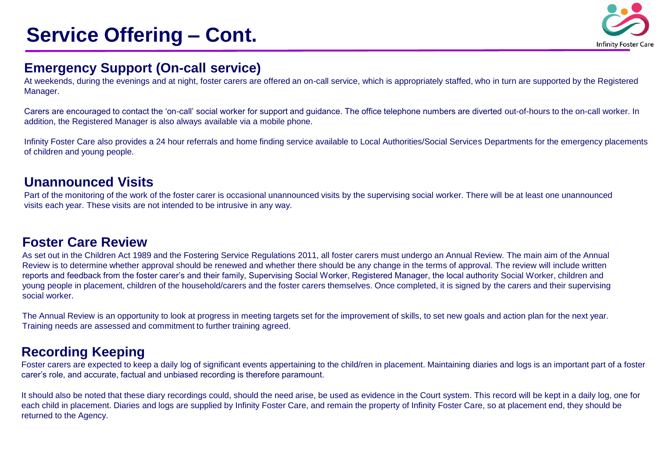# **Service Offering – Cont.**



#### **Emergency Support (On-call service)**

At weekends, during the evenings and at night, foster carers are offered an on-call service, which is appropriately staffed, who in turn are supported by the Registered Manager.

Carers are encouraged to contact the 'on-call' social worker for support and guidance. The office telephone numbers are diverted out-of-hours to the on-call worker. In addition, the Registered Manager is also always available via a mobile phone.

Infinity Foster Care also provides a 24 hour referrals and home finding service available to Local Authorities/Social Services Departments for the emergency placements of children and young people.

#### **Unannounced Visits**

Part of the monitoring of the work of the foster carer is occasional unannounced visits by the supervising social worker. There will be at least one unannounced visits each year. These visits are not intended to be intrusive in any way.

#### **Foster Care Review**

As set out in the Children Act 1989 and the Fostering Service Regulations 2011, all foster carers must undergo an Annual Review. The main aim of the Annual Review is to determine whether approval should be renewed and whether there should be any change in the terms of approval. The review will include written reports and feedback from the foster carer's and their family, Supervising Social Worker, Registered Manager, the local authority Social Worker, children and young people in placement, children of the household/carers and the foster carers themselves. Once completed, it is signed by the carers and their supervising social worker.

The Annual Review is an opportunity to look at progress in meeting targets set for the improvement of skills, to set new goals and action plan for the next year. Training needs are assessed and commitment to further training agreed.

### **Recording Keeping**

Foster carers are expected to keep a daily log of significant events appertaining to the child/ren in placement. Maintaining diaries and logs is an important part of a foster carer's role, and accurate, factual and unbiased recording is therefore paramount.

It should also be noted that these diary recordings could, should the need arise, be used as evidence in the Court system. This record will be kept in a daily log, one for each child in placement. Diaries and logs are supplied by Infinity Foster Care, and remain the property of Infinity Foster Care, so at placement end, they should be returned to the Agency.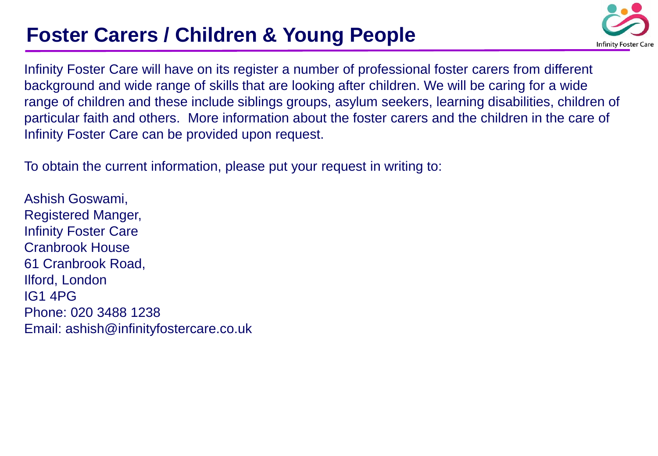# **Foster Carers / Children & Young People**



Infinity Foster Care will have on its register a number of professional foster carers from different background and wide range of skills that are looking after children. We will be caring for a wide range of children and these include siblings groups, asylum seekers, learning disabilities, children of particular faith and others. More information about the foster carers and the children in the care of Infinity Foster Care can be provided upon request.

To obtain the current information, please put your request in writing to:

Ashish Goswami, Registered Manger, Infinity Foster Care Cranbrook House 61 Cranbrook Road, Ilford, London IG1 4PG Phone: 020 3488 1238 Email: ashish@infinityfostercare.co.uk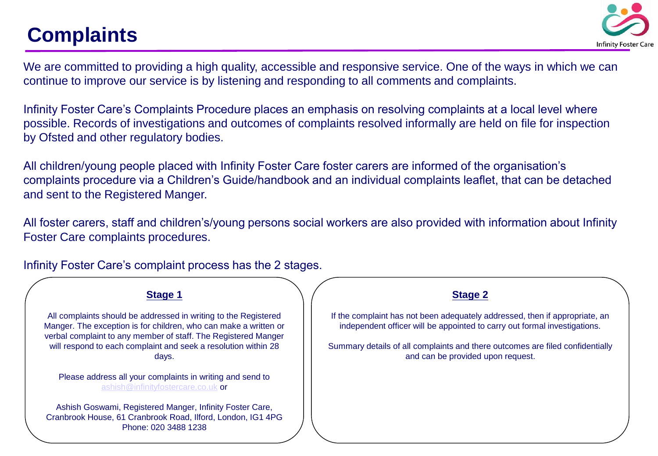# **Complaints**



We are committed to providing a high quality, accessible and responsive service. One of the ways in which we can continue to improve our service is by listening and responding to all comments and complaints.

Infinity Foster Care's Complaints Procedure places an emphasis on resolving complaints at a local level where possible. Records of investigations and outcomes of complaints resolved informally are held on file for inspection by Ofsted and other regulatory bodies.

All children/young people placed with Infinity Foster Care foster carers are informed of the organisation's complaints procedure via a Children's Guide/handbook and an individual complaints leaflet, that can be detached and sent to the Registered Manger.

All foster carers, staff and children's/young persons social workers are also provided with information about Infinity Foster Care complaints procedures.

**Stage 1** All complaints should be addressed in writing to the Registered Manger. The exception is for children, who can make a written or verbal complaint to any member of staff. The Registered Manger will respond to each complaint and seek a resolution within 28 days. Please address all your complaints in writing and send to [ashish@infinityfostercare.co.uk](mailto:ashish@infinityfostercare.co.uk) or Ashish Goswami, Registered Manger, Infinity Foster Care, Cranbrook House, 61 Cranbrook Road, Ilford, London, IG1 4PG Phone: 020 3488 1238 **Stage 2** If the complaint has not been adequately addressed, then if appropriate, an independent officer will be appointed to carry out formal investigations. Summary details of all complaints and there outcomes are filed confidentially and can be provided upon request.

Infinity Foster Care's complaint process has the 2 stages.